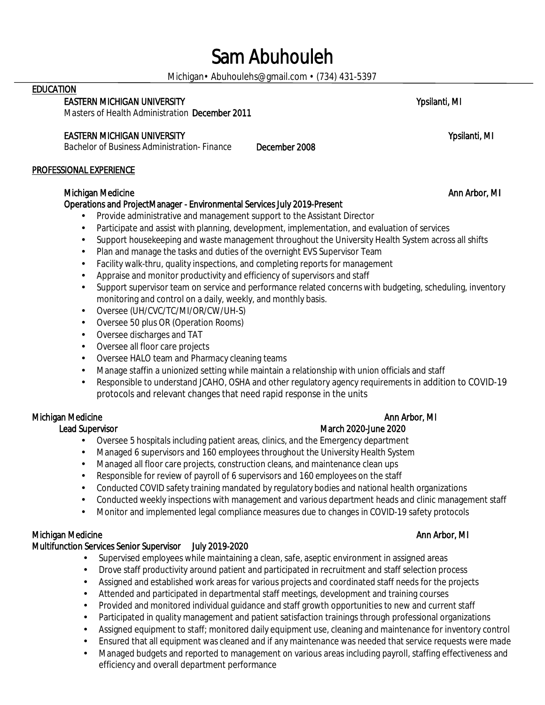# Sam Abuhouleh

Michigan• Abuhoulehs@gmail.com • (734) 431-5397

### **EDUCATION**

EASTERN MICHIGAN UNIVERSITY **WE SEE ALL ASSESS** TO A SECOND VIOLENCE AND THE VIOLENCE OF A SECOND VIOLENCE OF A SECOND VIOLENCE OF A SECOND VIOLENCE OF A SECOND VIOLENCE OF A SECOND VIOLENCE OF A SECOND VIOLENCE OF A SECON

*Masters of Health Administration* December 2011

### EASTERN MICHIGAN UNIVERSITY **WE SEE ALL ASTERN MICHIGAN UNIVERSITY** AND RESERVE THE SEE ALL ASSESSED FOR A SECOND VIOLENCE OF A SECOND VIOLENCE OF A SECOND VIOLENCE OF A SECOND VIOLENCE OF A SECOND VIOLENCE OF A SECOND VIO

*Bachelor of Business Administration- Finance* December 2008

### PROFESSIONAL EXPERIENCE

### Michigan Medicine Ann Arbor, MI

### Operations and ProjectManager - Environmental Services July 2019-Present

- Provide administrative and management support to the Assistant Director
- Participate and assist with planning, development, implementation, and evaluation of services
- Support housekeeping and waste management throughout the University Health System across all shifts
- Plan and manage the tasks and duties of the overnight EVS Supervisor Team
- Facility walk-thru, quality inspections, and completing reports for management
- Appraise and monitor productivity and efficiency of supervisors and staff
- Support supervisor team on service and performance related concerns with budgeting, scheduling, inventory monitoring and control on a daily, weekly, and monthly basis.
- Oversee (UH/CVC/TC/MI/OR/CW/UH-S) V.
- Oversee 50 plus OR (Operation Rooms)
- Oversee discharges and TAT  $\epsilon$
- Oversee all floor care projects
- Oversee HALO team and Pharmacy cleaning teams
- Manage staffin a unionized setting while maintain a relationship with union officials and staff
- Responsible to understand JCAHO, OSHA and other regulatory agency requirements in addition to COVID-19 protocols and relevant changes that need rapid response in the units

### Michigan Medicine Ann Arbor, MI

- Oversee 5 hospitals including patient areas, clinics, and the Emergency department
- Managed 6 supervisors and 160 employees throughout the University Health System
- Managed all floor care projects, construction cleans, and maintenance clean ups
- Responsible for review of payroll of 6 supervisors and 160 employees on the staff
- Conducted COVID safety training mandated by regulatory bodies and national health organizations
- Conducted weekly inspections with management and various department heads and clinic management staff
- Monitor and implemented legal compliance measures due to changes in COVID-19 safety protocols

### Michigan Medicine Ann Arbor, MI

# Multifunction Services Senior Supervisor July 2019-2020

- Supervised employees while maintaining a clean, safe, aseptic environment in assigned areas
- Drove staff productivity around patient and participated in recruitment and staff selection process ä,
- Assigned and established work areas for various projects and coordinated staff needs for the projects
- Attended and participated in departmental staff meetings, development and training courses
- Provided and monitored individual guidance and staff growth opportunities to new and current staff
- Participated in quality management and patient satisfaction trainings through professional organizations
- Assigned equipment to staff; monitored daily equipment use, cleaning and maintenance for inventory control
- Ensured that all equipment was cleaned and if any maintenance was needed that service requests were made
- Managed budgets and reported to management on various areas including payroll, staffing effectiveness and efficiency and overall department performance

### Lead Supervisor March 2020-June 2020